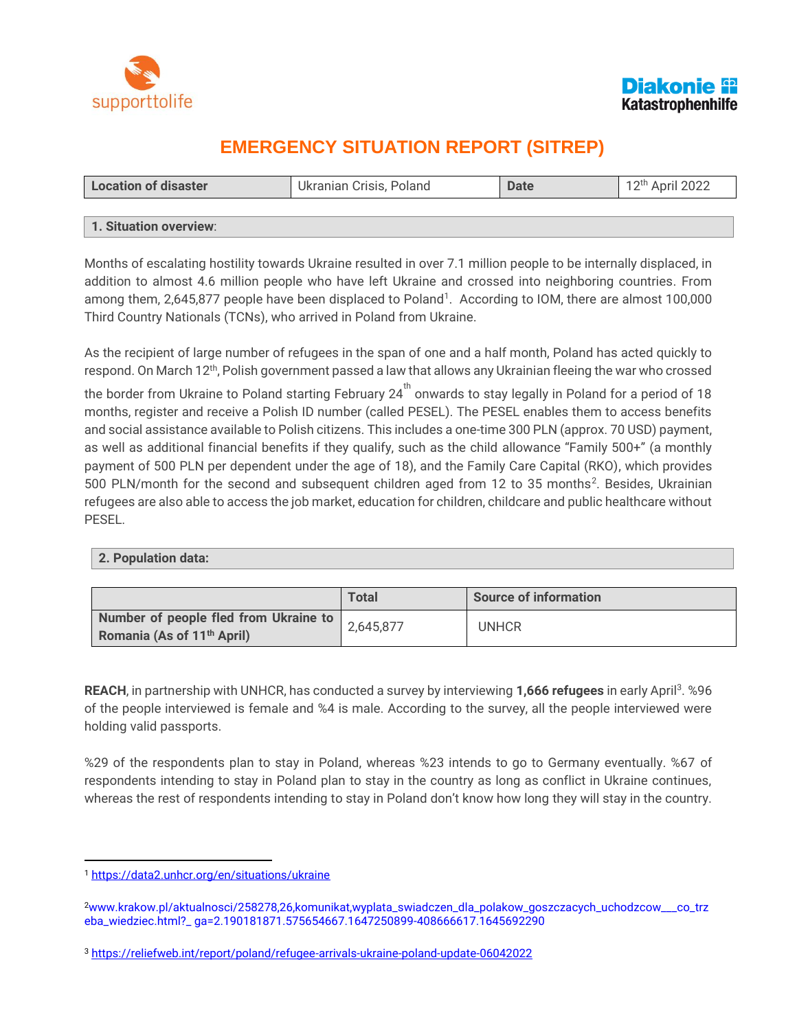



# **EMERGENCY SITUATION REPORT (SITREP)**

| <b>Location of disaster</b> | Ukranian Crisis, Poland | <b>Date</b> | 12 <sup>th</sup> April 2022 |  |  |
|-----------------------------|-------------------------|-------------|-----------------------------|--|--|
|                             |                         |             |                             |  |  |
| 1. Situation overview:      |                         |             |                             |  |  |

Months of escalating hostility towards Ukraine resulted in over 7.1 million people to be internally displaced, in addition to almost 4.6 million people who have left Ukraine and crossed into neighboring countries. From among them, 2,645,877 people have been displaced to Poland<sup>1</sup>. According to IOM, there are almost 100,000 Third Country Nationals (TCNs), who arrived in Poland from Ukraine.

As the recipient of large number of refugees in the span of one and a half month, Poland has acted quickly to respond. On March 12<sup>th</sup>, Polish government passed a law that allows any Ukrainian fleeing the war who crossed

the border from Ukraine to Poland starting February  $24^{th}$  onwards to stay legally in Poland for a period of 18 months, register and receive a Polish ID number (called PESEL). The PESEL enables them to access benefits and social assistance available to Polish citizens. This includes a one-time 300 PLN (approx. 70 USD) payment, as well as additional financial benefits if they qualify, such as the child allowance "Family 500+" (a monthly payment of 500 PLN per dependent under the age of 18), and the Family Care Capital (RKO), which provides 500 PLN/month for the second and subsequent children aged from 12 to 35 months<sup>2</sup>. Besides, Ukrainian refugees are also able to access the job market, education for children, childcare and public healthcare without PESEL.

#### **2. Population data:**

|                                                                                 | <b>Total</b> | <b>Source of information</b> |
|---------------------------------------------------------------------------------|--------------|------------------------------|
| Number of people fled from Ukraine to<br>Romania (As of 11 <sup>th</sup> April) | 2,645,877    | <b>UNHCR</b>                 |

REACH, in partnership with UNHCR, has conducted a survey by interviewing 1,666 refugees in early April<sup>3</sup>. %96 of the people interviewed is female and %4 is male. According to the survey, all the people interviewed were holding valid passports.

%29 of the respondents plan to stay in Poland, whereas %23 intends to go to Germany eventually. %67 of respondents intending to stay in Poland plan to stay in the country as long as conflict in Ukraine continues, whereas the rest of respondents intending to stay in Poland don't know how long they will stay in the country.

 $\overline{a}$ <sup>1</sup> <https://data2.unhcr.org/en/situations/ukraine>

<sup>2</sup>www.krakow.pl/aktualnosci/258278,26,komunikat,wyplata\_swiadczen\_dla\_polakow\_goszczacych\_uchodzcow\_\_\_co\_trz eba\_wiedziec.html?\_ ga=2.190181871.575654667.1647250899-408666617.1645692290

<sup>3</sup> <https://reliefweb.int/report/poland/refugee-arrivals-ukraine-poland-update-06042022>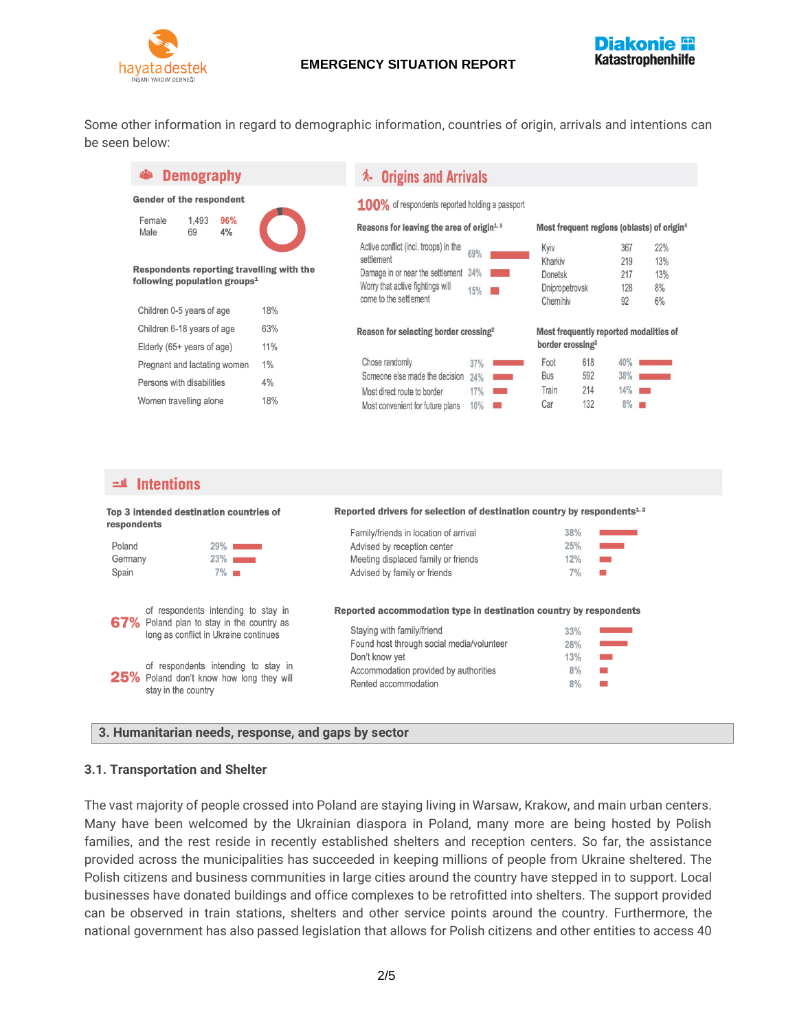

## **EMERGENCY SITUATION REPORT**



Some other information in regard to demographic information, countries of origin, arrivals and intentions can be seen below:

| <b>Demography</b>                                                                                                                                                      |                        | <b>Origins and Arrivals</b><br>∧-                                                                                                                                                              |                          |                                                                                             |                          |                                                |                   |
|------------------------------------------------------------------------------------------------------------------------------------------------------------------------|------------------------|------------------------------------------------------------------------------------------------------------------------------------------------------------------------------------------------|--------------------------|---------------------------------------------------------------------------------------------|--------------------------|------------------------------------------------|-------------------|
| <b>Gender of the respondent</b><br>1.493<br>96%<br>Female<br>4%<br>Male<br>69<br>Respondents reporting travelling with the<br>following population groups <sup>1</sup> |                        | 100% of respondents reported holding a passport<br>Reasons for leaving the area of origin $1,3$<br>Active conflict (incl. troops) in the<br>settlement<br>Damage in or near the settlement 34% | 69%                      | Most frequent regions (oblasts) of origin <sup>4</sup><br>Kyiv<br>Kharkiv<br><b>Donetsk</b> |                          | 367<br>219<br>217                              | 22%<br>13%<br>13% |
| Children 0-5 years of age<br>Children 6-18 years of age                                                                                                                | 18%<br>63%             | Worry that active fightings will<br>come to the settlement<br>Reason for selecting border crossing <sup>2</sup>                                                                                | 15%                      | Dnipropetrovsk<br>Chernihiv<br>Most frequently reported modalities of                       |                          | 128<br>92                                      | 8%<br>6%          |
| Elderly (65+ years of age)<br>Pregnant and lactating women<br>Persons with disabilities<br>Women travelling alone                                                      | 11%<br>1%<br>4%<br>18% | Chose randomly<br>Someone else made the decision<br>Most direct route to border<br>Most convenient for future plans                                                                            | 37%<br>24%<br>17%<br>10% | border crossing <sup>2</sup><br>Foot<br><b>Bus</b><br>Train<br>Car                          | 618<br>592<br>214<br>132 | 40%<br>38%<br>14%<br>m<br>$8\%$ $\blacksquare$ |                   |
|                                                                                                                                                                        |                        |                                                                                                                                                                                                |                          |                                                                                             |                          |                                                |                   |

#### $\pm$ **4** Intentions

| Top 3 intended destination countries of<br>respondents |                                                                                                                                                                                                                                     | Reported drivers for selection of destination country by respondents <sup>1,2</sup>                                                                                                                                             |                               |                                                         |  |
|--------------------------------------------------------|-------------------------------------------------------------------------------------------------------------------------------------------------------------------------------------------------------------------------------------|---------------------------------------------------------------------------------------------------------------------------------------------------------------------------------------------------------------------------------|-------------------------------|---------------------------------------------------------|--|
|                                                        |                                                                                                                                                                                                                                     | Family/friends in location of arrival                                                                                                                                                                                           | 38%                           |                                                         |  |
| Poland                                                 | $29\%$ $\blacksquare$                                                                                                                                                                                                               | Advised by reception center                                                                                                                                                                                                     | 25%                           | an an an A                                              |  |
| Germany                                                | $23\%$                                                                                                                                                                                                                              | Meeting displaced family or friends                                                                                                                                                                                             | 12%                           |                                                         |  |
| Spain                                                  | $7\%$ $\blacksquare$                                                                                                                                                                                                                | Advised by family or friends                                                                                                                                                                                                    | 7%                            | <b>COL</b>                                              |  |
|                                                        | of respondents intending to stay in<br>67% Poland plan to stay in the country as<br>long as conflict in Ukraine continues<br>of respondents intending to stay in<br>25% Poland don't know how long they will<br>stay in the country | Reported accommodation type in destination country by respondents<br>Staving with family/friend<br>Found host through social media/volunteer<br>Don't know yet<br>Accommodation provided by authorities<br>Rented accommodation | 33%<br>28%<br>13%<br>8%<br>8% | an an Sala<br><b>The Co</b><br><b>COL</b><br><b>COL</b> |  |

#### **3. Humanitarian needs, response, and gaps by sector**

#### **3.1. Transportation and Shelter**

The vast majority of people crossed into Poland are staying living in Warsaw, Krakow, and main urban centers. Many have been welcomed by the Ukrainian diaspora in Poland, many more are being hosted by Polish families, and the rest reside in recently established shelters and reception centers. So far, the assistance provided across the municipalities has succeeded in keeping millions of people from Ukraine sheltered. The Polish citizens and business communities in large cities around the country have stepped in to support. Local businesses have donated buildings and office complexes to be retrofitted into shelters. The support provided can be observed in train stations, shelters and other service points around the country. Furthermore, the national government has also passed legislation that allows for Polish citizens and other entities to access 40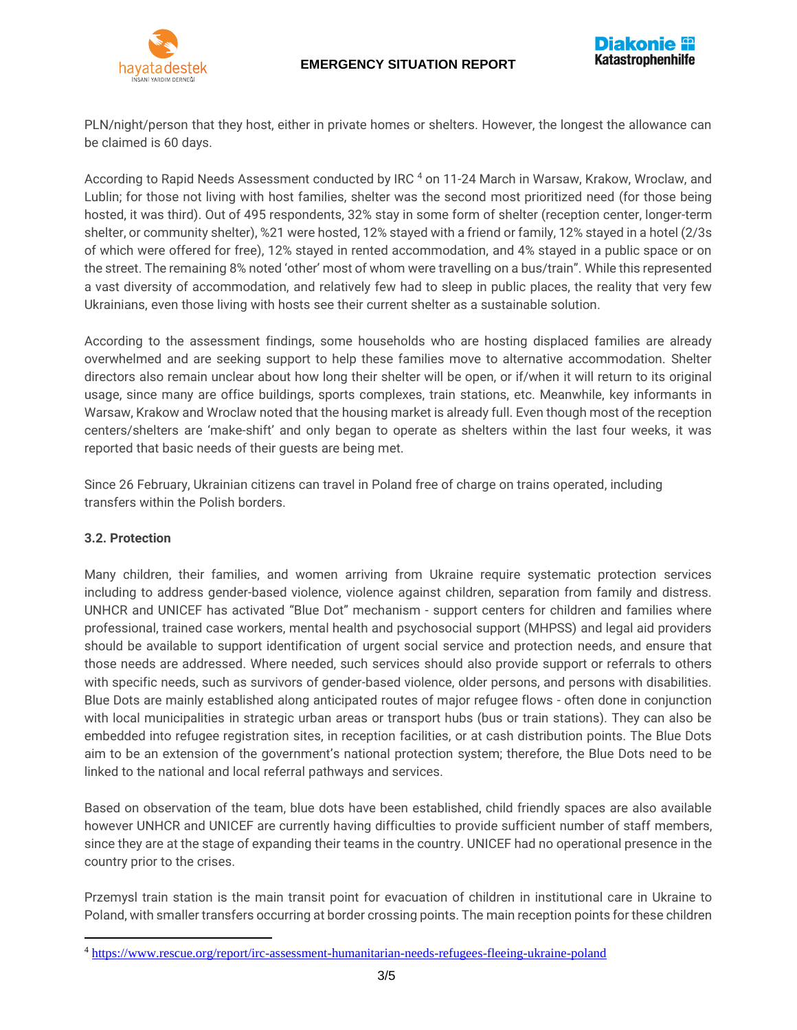# **EMERGENCY SITUATION REPORT**



PLN/night/person that they host, either in private homes or shelters. However, the longest the allowance can be claimed is 60 days.

According to Rapid Needs Assessment conducted by IRC 4 on 11-24 March in Warsaw, Krakow, Wroclaw, and Lublin; for those not living with host families, shelter was the second most prioritized need (for those being hosted, it was third). Out of 495 respondents, 32% stay in some form of shelter (reception center, longer-term shelter, or community shelter), %21 were hosted, 12% stayed with a friend or family, 12% stayed in a hotel (2/3s of which were offered for free), 12% stayed in rented accommodation, and 4% stayed in a public space or on the street. The remaining 8% noted 'other' most of whom were travelling on a bus/train". While this represented a vast diversity of accommodation, and relatively few had to sleep in public places, the reality that very few Ukrainians, even those living with hosts see their current shelter as a sustainable solution.

According to the assessment findings, some households who are hosting displaced families are already overwhelmed and are seeking support to help these families move to alternative accommodation. Shelter directors also remain unclear about how long their shelter will be open, or if/when it will return to its original usage, since many are office buildings, sports complexes, train stations, etc. Meanwhile, key informants in Warsaw, Krakow and Wroclaw noted that the housing market is already full. Even though most of the reception centers/shelters are 'make-shift' and only began to operate as shelters within the last four weeks, it was reported that basic needs of their guests are being met.

Since 26 February, Ukrainian citizens can travel in Poland free of charge on trains operated, including transfers within the Polish borders.

#### **3.2. Protection**

 $\overline{a}$ 

Many children, their families, and women arriving from Ukraine require systematic protection services including to address gender-based violence, violence against children, separation from family and distress. UNHCR and UNICEF has activated "Blue Dot" mechanism - support centers for children and families where professional, trained case workers, mental health and psychosocial support (MHPSS) and legal aid providers should be available to support identification of urgent social service and protection needs, and ensure that those needs are addressed. Where needed, such services should also provide support or referrals to others with specific needs, such as survivors of gender-based violence, older persons, and persons with disabilities. Blue Dots are mainly established along anticipated routes of major refugee flows - often done in conjunction with local municipalities in strategic urban areas or transport hubs (bus or train stations). They can also be embedded into refugee registration sites, in reception facilities, or at cash distribution points. The Blue Dots aim to be an extension of the government's national protection system; therefore, the Blue Dots need to be linked to the national and local referral pathways and services.

Based on observation of the team, blue dots have been established, child friendly spaces are also available however UNHCR and UNICEF are currently having difficulties to provide sufficient number of staff members, since they are at the stage of expanding their teams in the country. UNICEF had no operational presence in the country prior to the crises.

Przemysl train station is the main transit point for evacuation of children in institutional care in Ukraine to Poland, with smaller transfers occurring at border crossing points. The main reception points for these children

<sup>4</sup> <https://www.rescue.org/report/irc-assessment-humanitarian-needs-refugees-fleeing-ukraine-poland>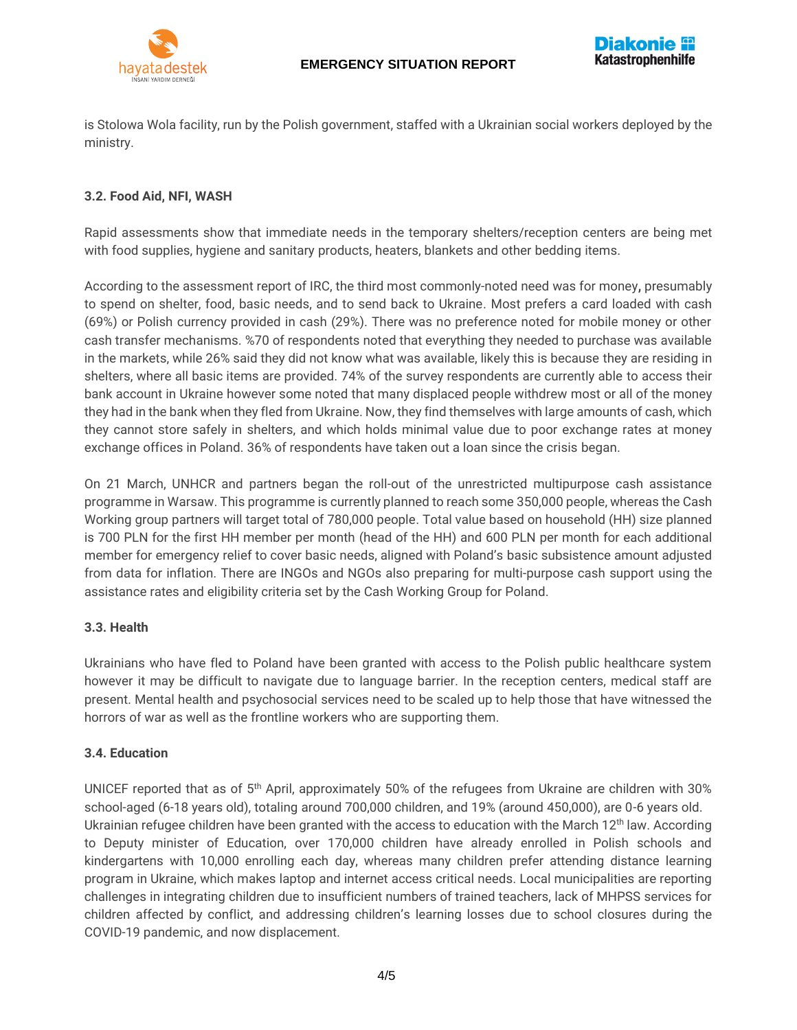



is Stolowa Wola facility, run by the Polish government, staffed with a Ukrainian social workers deployed by the ministry.

#### **3.2. Food Aid, NFI, WASH**

Rapid assessments show that immediate needs in the temporary shelters/reception centers are being met with food supplies, hygiene and sanitary products, heaters, blankets and other bedding items.

According to the assessment report of IRC, the third most commonly-noted need was for money**,** presumably to spend on shelter, food, basic needs, and to send back to Ukraine. Most prefers a card loaded with cash (69%) or Polish currency provided in cash (29%). There was no preference noted for mobile money or other cash transfer mechanisms. %70 of respondents noted that everything they needed to purchase was available in the markets, while 26% said they did not know what was available, likely this is because they are residing in shelters, where all basic items are provided. 74% of the survey respondents are currently able to access their bank account in Ukraine however some noted that many displaced people withdrew most or all of the money they had in the bank when they fled from Ukraine. Now, they find themselves with large amounts of cash, which they cannot store safely in shelters, and which holds minimal value due to poor exchange rates at money exchange offices in Poland. 36% of respondents have taken out a loan since the crisis began.

On 21 March, UNHCR and partners began the roll-out of the unrestricted multipurpose cash assistance programme in Warsaw. This programme is currently planned to reach some 350,000 people, whereas the Cash Working group partners will target total of 780,000 people. Total value based on household (HH) size planned is 700 PLN for the first HH member per month (head of the HH) and 600 PLN per month for each additional member for emergency relief to cover basic needs, aligned with Poland's basic subsistence amount adjusted from data for inflation. There are INGOs and NGOs also preparing for multi-purpose cash support using the assistance rates and eligibility criteria set by the Cash Working Group for Poland.

#### **3.3. Health**

Ukrainians who have fled to Poland have been granted with access to the Polish public healthcare system however it may be difficult to navigate due to language barrier. In the reception centers, medical staff are present. Mental health and psychosocial services need to be scaled up to help those that have witnessed the horrors of war as well as the frontline workers who are supporting them.

#### **3.4. Education**

UNICEF reported that as of 5<sup>th</sup> April, approximately 50% of the refugees from Ukraine are children with 30% school-aged (6-18 years old), totaling around 700,000 children, and 19% (around 450,000), are 0-6 years old. Ukrainian refugee children have been granted with the access to education with the March  $12<sup>th</sup>$  law. According to Deputy minister of Education, over 170,000 children have already enrolled in Polish schools and kindergartens with 10,000 enrolling each day, whereas many children prefer attending distance learning program in Ukraine, which makes laptop and internet access critical needs. Local municipalities are reporting challenges in integrating children due to insufficient numbers of trained teachers, lack of MHPSS services for children affected by conflict, and addressing children's learning losses due to school closures during the COVID-19 pandemic, and now displacement.